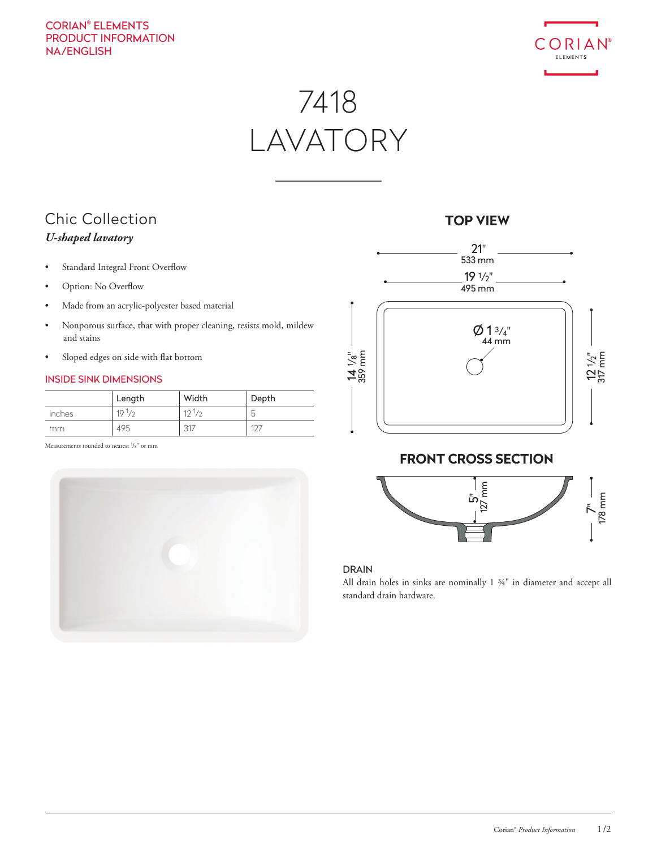## CORIAN® ELEMENTS PRODUCT INFORMATION NA/ENGLISH



# 7418 LAVATORY

## Chic Collection *U-shaped lavatory*

- Standard Integral Front Overflow
- Option: No Overflow
- Made from an acrylic-polyester based material
- Nonporous surface, that with proper cleaning, resists mold, mildew and stains
- Sloped edges on side with flat bottom

## INSIDE SINK DIMENSIONS

|        | Length                         | Width      | Depth  |
|--------|--------------------------------|------------|--------|
| inches | 19 <sup>1</sup> / <sub>2</sub> | $12^{1/2}$ | $\sim$ |
| mm     | 495                            | 21         |        |

Measurements rounded to nearest <sup>1</sup>/8" or mm



# 21"  $Ø 13/4"$ <u>ام</u> /8" 359 mm 12 1 /2" 317 mm 19 1 /2" 533 mm 495 mm 44 mm

## **FRONT CROSS SECTION**



## DRAIN

All drain holes in sinks are nominally 1 ¾" in diameter and accept all standard drain hardware.

## **TOP VIEW**